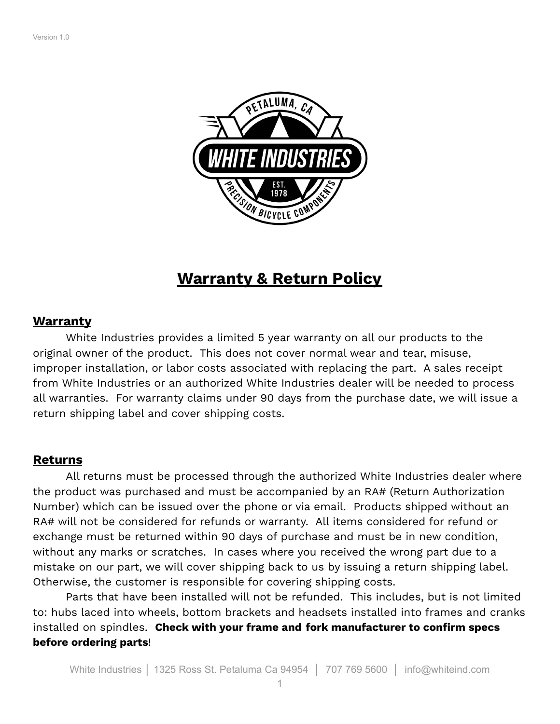

# **Warranty & Return Policy**

#### **Warranty**

White Industries provides a limited 5 year warranty on all our products to the original owner of the product. This does not cover normal wear and tear, misuse, improper installation, or labor costs associated with replacing the part. A sales receipt from White Industries or an authorized White Industries dealer will be needed to process all warranties. For warranty claims under 90 days from the purchase date, we will issue a return shipping label and cover shipping costs.

### **Returns**

All returns must be processed through the authorized White Industries dealer where the product was purchased and must be accompanied by an RA# (Return Authorization Number) which can be issued over the phone or via email. Products shipped without an RA# will not be considered for refunds or warranty. All items considered for refund or exchange must be returned within 90 days of purchase and must be in new condition, without any marks or scratches. In cases where you received the wrong part due to a mistake on our part, we will cover shipping back to us by issuing a return shipping label. Otherwise, the customer is responsible for covering shipping costs.

Parts that have been installed will not be refunded. This includes, but is not limited to: hubs laced into wheels, bottom brackets and headsets installed into frames and cranks installed on spindles. **Check with your frame and fork manufacturer to confirm specs before ordering parts**!

1